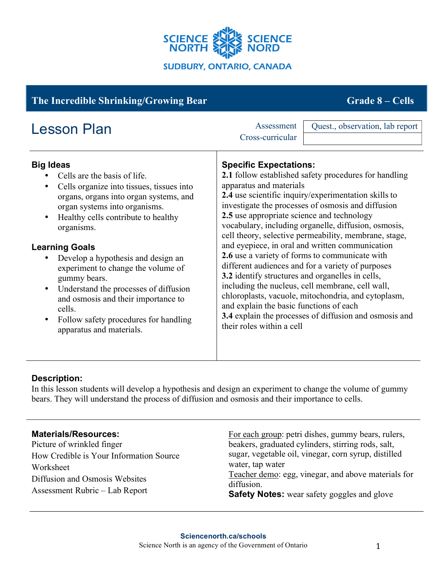

# **The Incredible Shrinking/Growing Bear Grade 8 – Cells**

| <b>Lesson Plan</b>                        | Quest., observation, lab report<br>Assessment<br>Cross-curricular |
|-------------------------------------------|-------------------------------------------------------------------|
| <b>Big Ideas</b>                          | <b>Specific Expectations:</b>                                     |
| Cells are the basis of life.              | 2.1 follow established safety procedures for handling             |
| Cells organize into tissues, tissues into | apparatus and materials                                           |
| organs, organs into organ systems, and    | 2.4 use scientific inquiry/experimentation skills to              |
| organ systems into organisms.             | investigate the processes of osmosis and diffusion                |
| Healthy cells contribute to healthy       | 2.5 use appropriate science and technology                        |
| organisms.                                | vocabulary, including organelle, diffusion, osmosis,              |
| <b>Learning Goals</b>                     | cell theory, selective permeability, membrane, stage,             |
| Develop a hypothesis and design an        | and eyepiece, in oral and written communication                   |
| experiment to change the volume of        | 2.6 use a variety of forms to communicate with                    |
| gummy bears.                              | different audiences and for a variety of purposes                 |
| Understand the processes of diffusion     | 3.2 identify structures and organelles in cells,                  |
| $\bullet$                                 | including the nucleus, cell membrane, cell wall,                  |
| and osmosis and their importance to       | chloroplasts, vacuole, mitochondria, and cytoplasm,               |
| cells.                                    | and explain the basic functions of each                           |
| Follow safety procedures for handling     | 3.4 explain the processes of diffusion and osmosis and            |
| apparatus and materials.                  | their roles within a cell                                         |

## **Description:**

In this lesson students will develop a hypothesis and design an experiment to change the volume of gummy bears. They will understand the process of diffusion and osmosis and their importance to cells.

## **Materials/Resources:**

Picture of wrinkled finger How Credible is Your Information Source Worksheet Diffusion and Osmosis Websites Assessment Rubric – Lab Report

For each group: petri dishes, gummy bears, rulers, beakers, graduated cylinders, stirring rods, salt, sugar, vegetable oil, vinegar, corn syrup, distilled water, tap water Teacher demo: egg, vinegar, and above materials for diffusion. **Safety Notes:** wear safety goggles and glove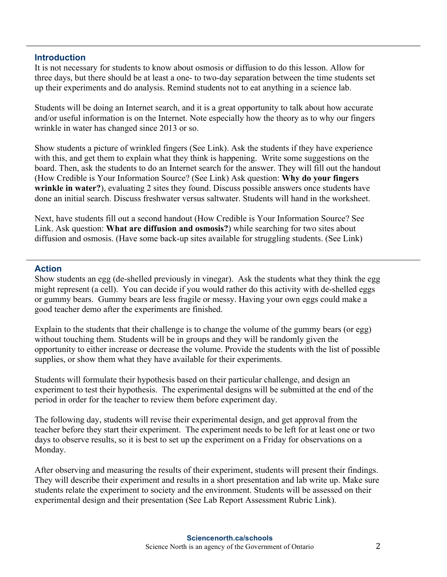#### **Introduction**

It is not necessary for students to know about osmosis or diffusion to do this lesson. Allow for three days, but there should be at least a one- to two-day separation between the time students set up their experiments and do analysis. Remind students not to eat anything in a science lab.

Students will be doing an Internet search, and it is a great opportunity to talk about how accurate and/or useful information is on the Internet. Note especially how the theory as to why our fingers wrinkle in water has changed since 2013 or so.

Show students a picture of wrinkled fingers (See Link). Ask the students if they have experience with this, and get them to explain what they think is happening. Write some suggestions on the board. Then, ask the students to do an Internet search for the answer. They will fill out the handout (How Credible is Your Information Source? (See Link) Ask question: **Why do your fingers wrinkle in water?**), evaluating 2 sites they found. Discuss possible answers once students have done an initial search. Discuss freshwater versus saltwater. Students will hand in the worksheet.

Next, have students fill out a second handout (How Credible is Your Information Source? See Link. Ask question: **What are diffusion and osmosis?**) while searching for two sites about diffusion and osmosis. (Have some back-up sites available for struggling students. (See Link)

#### **Action**

Show students an egg (de-shelled previously in vinegar). Ask the students what they think the egg might represent (a cell). You can decide if you would rather do this activity with de-shelled eggs or gummy bears. Gummy bears are less fragile or messy. Having your own eggs could make a good teacher demo after the experiments are finished.

Explain to the students that their challenge is to change the volume of the gummy bears (or egg) without touching them. Students will be in groups and they will be randomly given the opportunity to either increase or decrease the volume. Provide the students with the list of possible supplies, or show them what they have available for their experiments.

Students will formulate their hypothesis based on their particular challenge, and design an experiment to test their hypothesis. The experimental designs will be submitted at the end of the period in order for the teacher to review them before experiment day.

The following day, students will revise their experimental design, and get approval from the teacher before they start their experiment. The experiment needs to be left for at least one or two days to observe results, so it is best to set up the experiment on a Friday for observations on a Monday.

After observing and measuring the results of their experiment, students will present their findings. They will describe their experiment and results in a short presentation and lab write up. Make sure students relate the experiment to society and the environment. Students will be assessed on their experimental design and their presentation (See Lab Report Assessment Rubric Link).